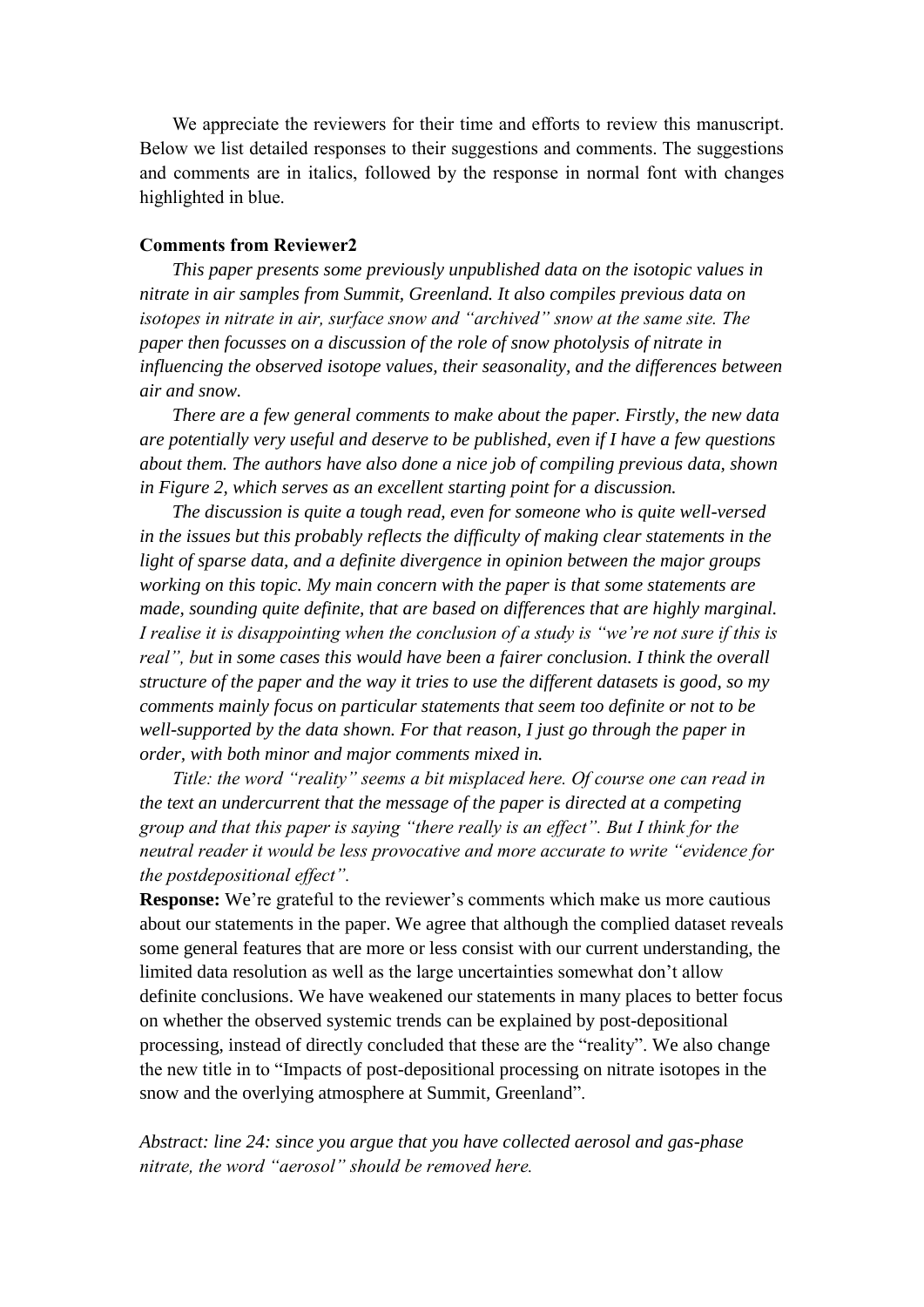We appreciate the reviewers for their time and efforts to review this manuscript. Below we list detailed responses to their suggestions and comments. The suggestions and comments are in italics, followed by the response in normal font with changes highlighted in blue.

## **Comments from Reviewer2**

*This paper presents some previously unpublished data on the isotopic values in nitrate in air samples from Summit, Greenland. It also compiles previous data on isotopes in nitrate in air, surface snow and "archived" snow at the same site. The paper then focusses on a discussion of the role of snow photolysis of nitrate in influencing the observed isotope values, their seasonality, and the differences between air and snow.* 

*There are a few general comments to make about the paper. Firstly, the new data are potentially very useful and deserve to be published, even if I have a few questions about them. The authors have also done a nice job of compiling previous data, shown in Figure 2, which serves as an excellent starting point for a discussion.* 

*The discussion is quite a tough read, even for someone who is quite well-versed in the issues but this probably reflects the difficulty of making clear statements in the light of sparse data, and a definite divergence in opinion between the major groups working on this topic. My main concern with the paper is that some statements are made, sounding quite definite, that are based on differences that are highly marginal. I realise it is disappointing when the conclusion of a study is "we're not sure if this is real", but in some cases this would have been a fairer conclusion. I think the overall structure of the paper and the way it tries to use the different datasets is good, so my comments mainly focus on particular statements that seem too definite or not to be well-supported by the data shown. For that reason, I just go through the paper in order, with both minor and major comments mixed in.* 

*Title: the word "reality" seems a bit misplaced here. Of course one can read in the text an undercurrent that the message of the paper is directed at a competing group and that this paper is saying "there really is an effect". But I think for the neutral reader it would be less provocative and more accurate to write "evidence for the postdepositional effect".* 

**Response:** We're grateful to the reviewer's comments which make us more cautious about our statements in the paper. We agree that although the complied dataset reveals some general features that are more or less consist with our current understanding, the limited data resolution as well as the large uncertainties somewhat don't allow definite conclusions. We have weakened our statements in many places to better focus on whether the observed systemic trends can be explained by post-depositional processing, instead of directly concluded that these are the "reality". We also change the new title in to "Impacts of post-depositional processing on nitrate isotopes in the snow and the overlying atmosphere at Summit, Greenland".

*Abstract: line 24: since you argue that you have collected aerosol and gas-phase nitrate, the word "aerosol" should be removed here.*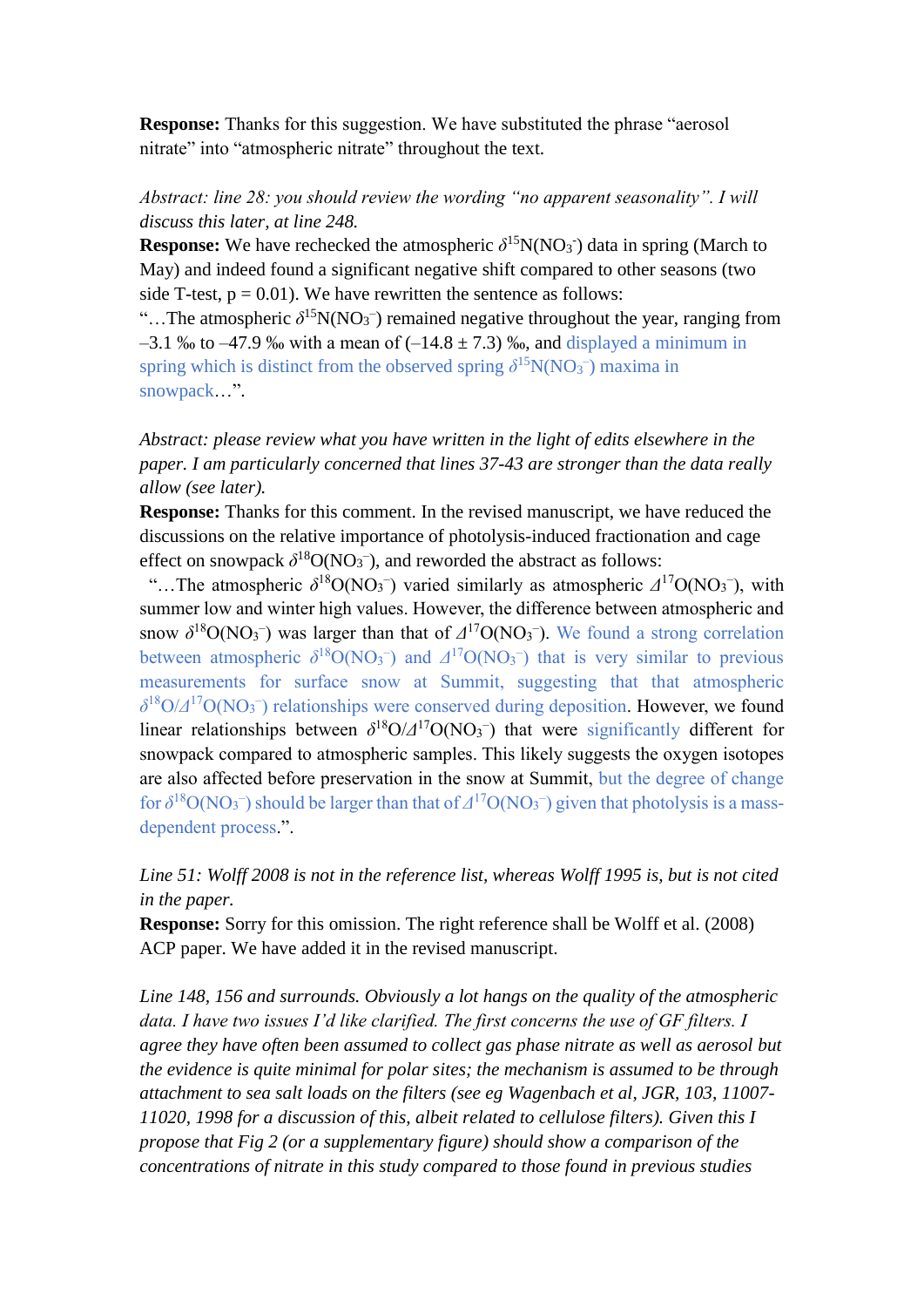**Response:** Thanks for this suggestion. We have substituted the phrase "aerosol" nitrate" into "atmospheric nitrate" throughout the text.

# *Abstract: line 28: you should review the wording "no apparent seasonality". I will discuss this later, at line 248.*

**Response:** We have rechecked the atmospheric  $\delta^{15}N(NO_3)$  data in spring (March to May) and indeed found a significant negative shift compared to other seasons (two side T-test,  $p = 0.01$ ). We have rewritten the sentence as follows:

"...The atmospheric  $\delta^{15}N(NO_3^-)$  remained negative throughout the year, ranging from  $-3.1$  ‰ to  $-47.9$  ‰ with a mean of  $(-14.8 \pm 7.3)$  ‰, and displayed a minimum in spring which is distinct from the observed spring  $\delta^{15}N(NO_3^-)$  maxima in snowpack…".

*Abstract: please review what you have written in the light of edits elsewhere in the paper. I am particularly concerned that lines 37-43 are stronger than the data really allow (see later).* 

**Response:** Thanks for this comment. In the revised manuscript, we have reduced the discussions on the relative importance of photolysis-induced fractionation and cage effect on snowpack  $\delta^{18}O(NO_3^-)$ , and reworded the abstract as follows:

"...The atmospheric  $\delta^{18}O(NO_3^-)$  varied similarly as atmospheric  $\Delta^{17}O(NO_3^-)$ , with summer low and winter high values. However, the difference between atmospheric and snow  $\delta^{18}O(NO_3^-)$  was larger than that of  $\Delta^{17}O(NO_3^-)$ . We found a strong correlation between atmospheric  $\delta^{18}O(NO_3^-)$  and  $\Delta^{17}O(NO_3^-)$  that is very similar to previous measurements for surface snow at Summit, suggesting that that atmospheric *δ* <sup>18</sup>O/*Δ* <sup>17</sup>O(NO<sup>3</sup> – ) relationships were conserved during deposition. However, we found linear relationships between  $\delta^{18}O/\Delta^{17}O(NO_3^-)$  that were significantly different for snowpack compared to atmospheric samples. This likely suggests the oxygen isotopes are also affected before preservation in the snow at Summit, but the degree of change for  $\delta^{18}O(NO_3^-)$  should be larger than that of  $\Delta^{17}O(NO_3^-)$  given that photolysis is a massdependent process.".

# *Line 51: Wolff 2008 is not in the reference list, whereas Wolff 1995 is, but is not cited in the paper.*

**Response:** Sorry for this omission. The right reference shall be Wolff et al. (2008) ACP paper. We have added it in the revised manuscript.

*Line 148, 156 and surrounds. Obviously a lot hangs on the quality of the atmospheric data. I have two issues I'd like clarified. The first concerns the use of GF filters. I agree they have often been assumed to collect gas phase nitrate as well as aerosol but the evidence is quite minimal for polar sites; the mechanism is assumed to be through attachment to sea salt loads on the filters (see eg Wagenbach et al, JGR, 103, 11007- 11020, 1998 for a discussion of this, albeit related to cellulose filters). Given this I propose that Fig 2 (or a supplementary figure) should show a comparison of the concentrations of nitrate in this study compared to those found in previous studies*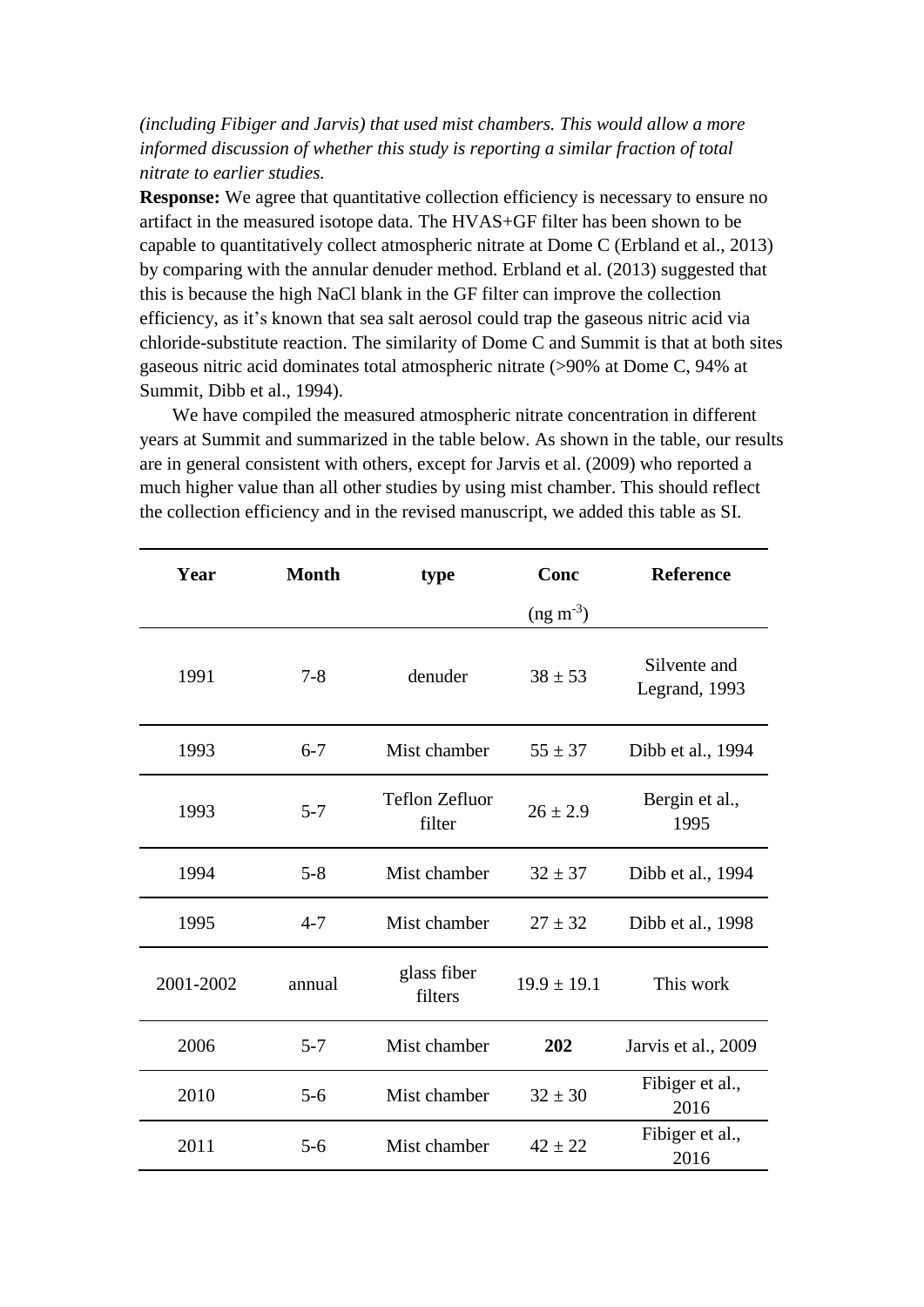*(including Fibiger and Jarvis) that used mist chambers. This would allow a more informed discussion of whether this study is reporting a similar fraction of total nitrate to earlier studies.* 

**Response:** We agree that quantitative collection efficiency is necessary to ensure no artifact in the measured isotope data. The HVAS+GF filter has been shown to be capable to quantitatively collect atmospheric nitrate at Dome C (Erbland et al., 2013) by comparing with the annular denuder method. Erbland et al. (2013) suggested that this is because the high NaCl blank in the GF filter can improve the collection efficiency, as it's known that sea salt aerosol could trap the gaseous nitric acid via chloride-substitute reaction. The similarity of Dome C and Summit is that at both sites gaseous nitric acid dominates total atmospheric nitrate (>90% at Dome C, 94% at Summit, Dibb et al., 1994).

We have compiled the measured atmospheric nitrate concentration in different years at Summit and summarized in the table below. As shown in the table, our results are in general consistent with others, except for Jarvis et al. (2009) who reported a much higher value than all other studies by using mist chamber. This should reflect the collection efficiency and in the revised manuscript, we added this table as SI.

| Year      | <b>Month</b> | type                            | Conc            | <b>Reference</b>              |
|-----------|--------------|---------------------------------|-----------------|-------------------------------|
|           |              |                                 | $(ng m-3)$      |                               |
| 1991      | $7 - 8$      | denuder                         | $38 \pm 53$     | Silvente and<br>Legrand, 1993 |
| 1993      | $6 - 7$      | Mist chamber                    | $55 \pm 37$     | Dibb et al., 1994             |
| 1993      | $5 - 7$      | <b>Teflon Zefluor</b><br>filter | $26 \pm 2.9$    | Bergin et al.,<br>1995        |
| 1994      | $5 - 8$      | Mist chamber                    | $32 \pm 37$     | Dibb et al., 1994             |
| 1995      | $4 - 7$      | Mist chamber                    | $27 \pm 32$     | Dibb et al., 1998             |
| 2001-2002 | annual       | glass fiber<br>filters          | $19.9 \pm 19.1$ | This work                     |
| 2006      | $5 - 7$      | Mist chamber                    | 202             | Jarvis et al., 2009           |
| 2010      | $5-6$        | Mist chamber                    | $32 \pm 30$     | Fibiger et al.,<br>2016       |
| 2011      | $5 - 6$      | Mist chamber                    | $42 \pm 22$     | Fibiger et al.,<br>2016       |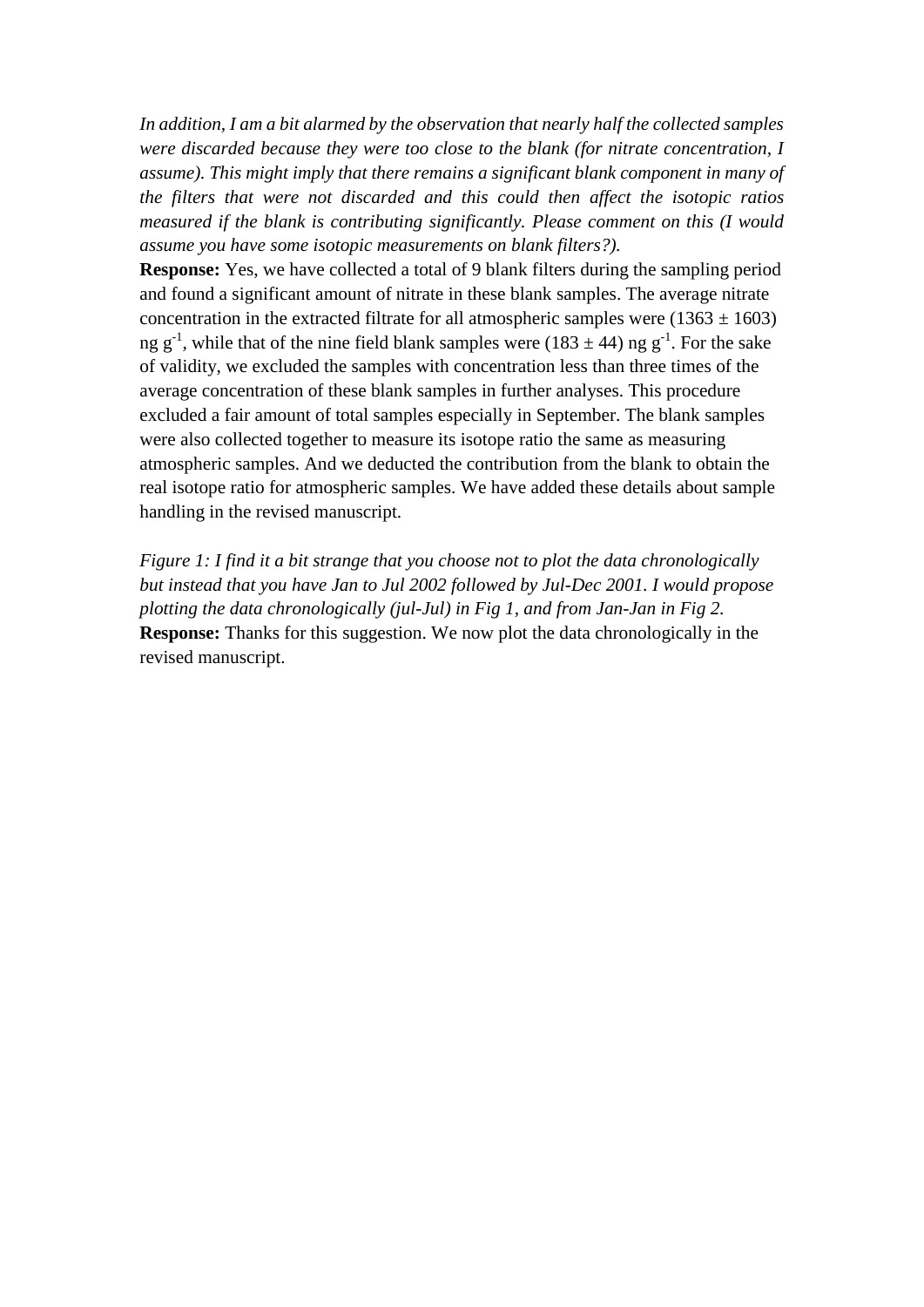*In addition, I am a bit alarmed by the observation that nearly half the collected samples were discarded because they were too close to the blank (for nitrate concentration, I assume). This might imply that there remains a significant blank component in many of the filters that were not discarded and this could then affect the isotopic ratios measured if the blank is contributing significantly. Please comment on this (I would assume you have some isotopic measurements on blank filters?).* 

**Response:** Yes, we have collected a total of 9 blank filters during the sampling period and found a significant amount of nitrate in these blank samples. The average nitrate concentration in the extracted filtrate for all atmospheric samples were  $(1363 \pm 1603)$ ng  $g^{-1}$ , while that of the nine field blank samples were (183  $\pm$  44) ng  $g^{-1}$ . For the sake of validity, we excluded the samples with concentration less than three times of the average concentration of these blank samples in further analyses. This procedure excluded a fair amount of total samples especially in September. The blank samples were also collected together to measure its isotope ratio the same as measuring atmospheric samples. And we deducted the contribution from the blank to obtain the real isotope ratio for atmospheric samples. We have added these details about sample handling in the revised manuscript.

*Figure 1: I find it a bit strange that you choose not to plot the data chronologically but instead that you have Jan to Jul 2002 followed by Jul-Dec 2001. I would propose plotting the data chronologically (jul-Jul) in Fig 1, and from Jan-Jan in Fig 2.*  **Response:** Thanks for this suggestion. We now plot the data chronologically in the revised manuscript.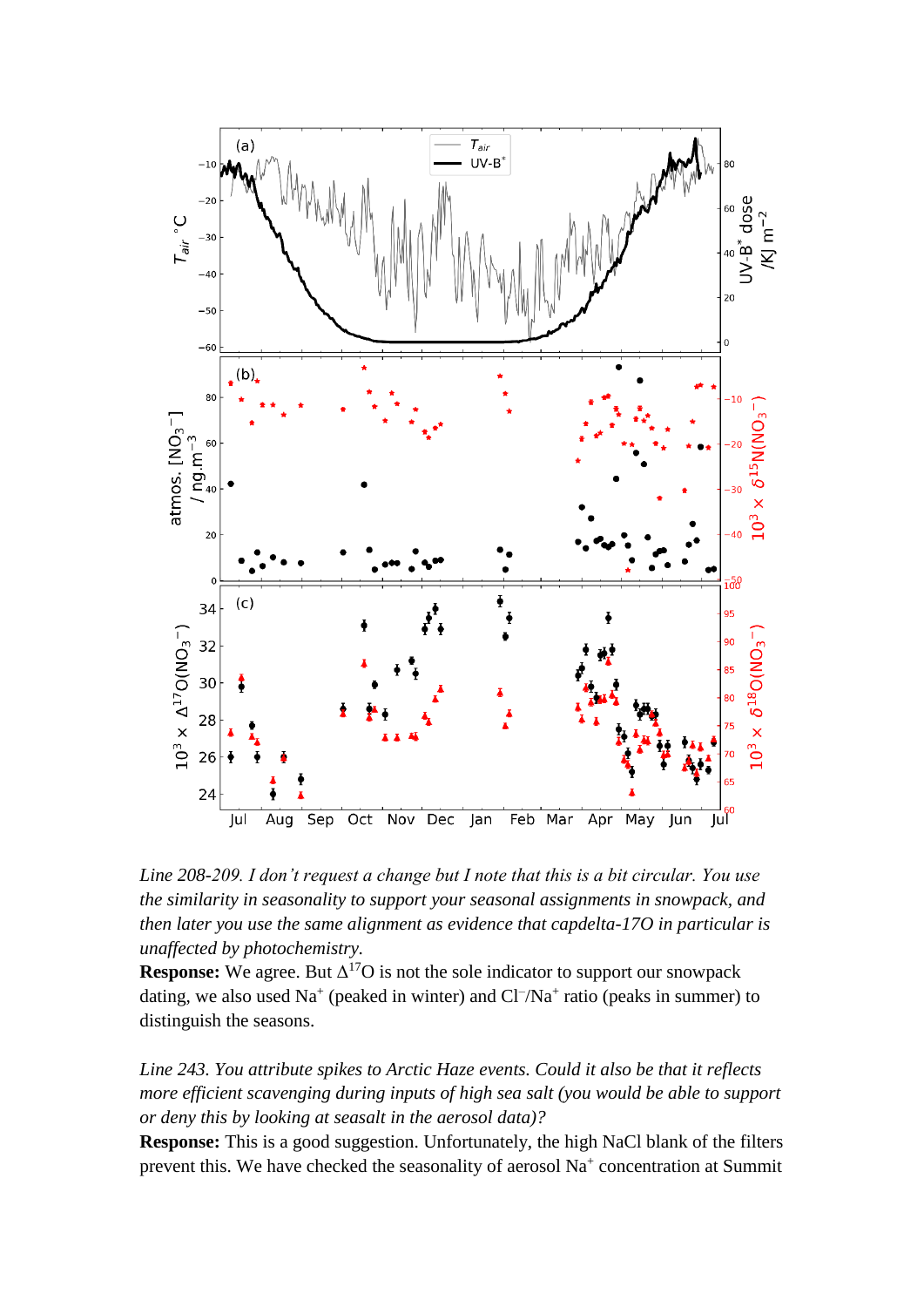

*Line 208-209. I don't request a change but I note that this is a bit circular. You use the similarity in seasonality to support your seasonal assignments in snowpack, and then later you use the same alignment as evidence that capdelta-17O in particular is unaffected by photochemistry.* 

**Response:** We agree. But  $\Delta^{17}O$  is not the sole indicator to support our snowpack dating, we also used  $Na^+$  (peaked in winter) and  $Cl^-/Na^+$  ratio (peaks in summer) to distinguish the seasons.

*Line 243. You attribute spikes to Arctic Haze events. Could it also be that it reflects more efficient scavenging during inputs of high sea salt (you would be able to support or deny this by looking at seasalt in the aerosol data)?* 

**Response:** This is a good suggestion. Unfortunately, the high NaCl blank of the filters prevent this. We have checked the seasonality of aerosol Na<sup>+</sup> concentration at Summit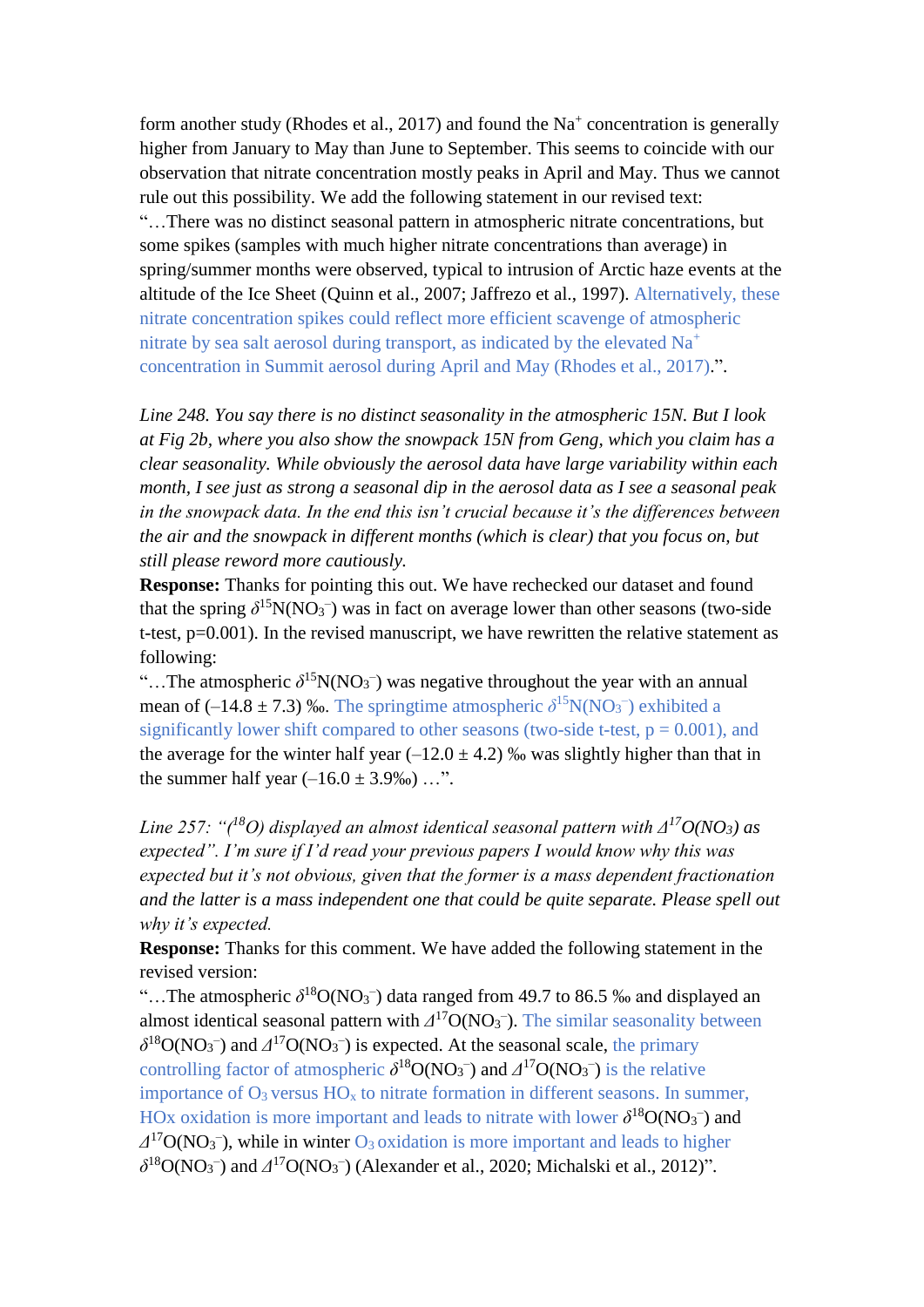form another study (Rhodes et al., 2017) and found the  $Na<sup>+</sup>$  concentration is generally higher from January to May than June to September. This seems to coincide with our observation that nitrate concentration mostly peaks in April and May. Thus we cannot rule out this possibility. We add the following statement in our revised text: "…There was no distinct seasonal pattern in atmospheric nitrate concentrations, but some spikes (samples with much higher nitrate concentrations than average) in spring/summer months were observed, typical to intrusion of Arctic haze events at the altitude of the Ice Sheet (Quinn et al., 2007; Jaffrezo et al., 1997). Alternatively, these nitrate concentration spikes could reflect more efficient scavenge of atmospheric nitrate by sea salt aerosol during transport, as indicated by the elevated Na<sup>+</sup> concentration in Summit aerosol during April and May (Rhodes et al., 2017).".

*Line 248. You say there is no distinct seasonality in the atmospheric 15N. But I look at Fig 2b, where you also show the snowpack 15N from Geng, which you claim has a clear seasonality. While obviously the aerosol data have large variability within each month, I see just as strong a seasonal dip in the aerosol data as I see a seasonal peak in the snowpack data. In the end this isn't crucial because it's the differences between the air and the snowpack in different months (which is clear) that you focus on, but still please reword more cautiously.* 

**Response:** Thanks for pointing this out. We have rechecked our dataset and found that the spring  $\delta^{15}N(NO_3^-)$  was in fact on average lower than other seasons (two-side t-test, p=0.001). In the revised manuscript, we have rewritten the relative statement as following:

"...The atmospheric  $\delta^{15}N(NO_3^-)$  was negative throughout the year with an annual mean of  $(-14.8 \pm 7.3)$  ‰. The springtime atmospheric  $\delta^{15}N(NO_3^-)$  exhibited a significantly lower shift compared to other seasons (two-side t-test,  $p = 0.001$ ), and the average for the winter half year  $(-12.0 \pm 4.2)$  ‰ was slightly higher than that in the summer half year  $(-16.0 \pm 3.9\%)$  ...".

*Line 257: "(<sup>18</sup>O) displayed an almost identical seasonal pattern with Δ<sup>17</sup>O(NO3) as expected". I'm sure if I'd read your previous papers I would know why this was expected but it's not obvious, given that the former is a mass dependent fractionation and the latter is a mass independent one that could be quite separate. Please spell out why it's expected.* 

**Response:** Thanks for this comment. We have added the following statement in the revised version:

"...The atmospheric  $\delta^{18}O(NO_3^-)$  data ranged from 49.7 to 86.5 ‰ and displayed an almost identical seasonal pattern with  $\Delta^{17}O(NO_3^-)$ . The similar seasonality between  $\delta^{18}O(NO_3^-)$  and  $\Delta^{17}O(NO_3^-)$  is expected. At the seasonal scale, the primary controlling factor of atmospheric  $\delta^{18}O(NO_3^-)$  and  $\Delta^{17}O(NO_3^-)$  is the relative importance of  $O_3$  versus  $HO_x$  to nitrate formation in different seasons. In summer, HOx oxidation is more important and leads to nitrate with lower  $\delta^{18}O(NO_3^-)$  and  $\Delta^{17}O(NO_3^-)$ , while in winter  $O_3$  oxidation is more important and leads to higher  $\delta^{18}O(NO_3^-)$  and  $\Delta^{17}O(NO_3^-)$  (Alexander et al., 2020; Michalski et al., 2012)".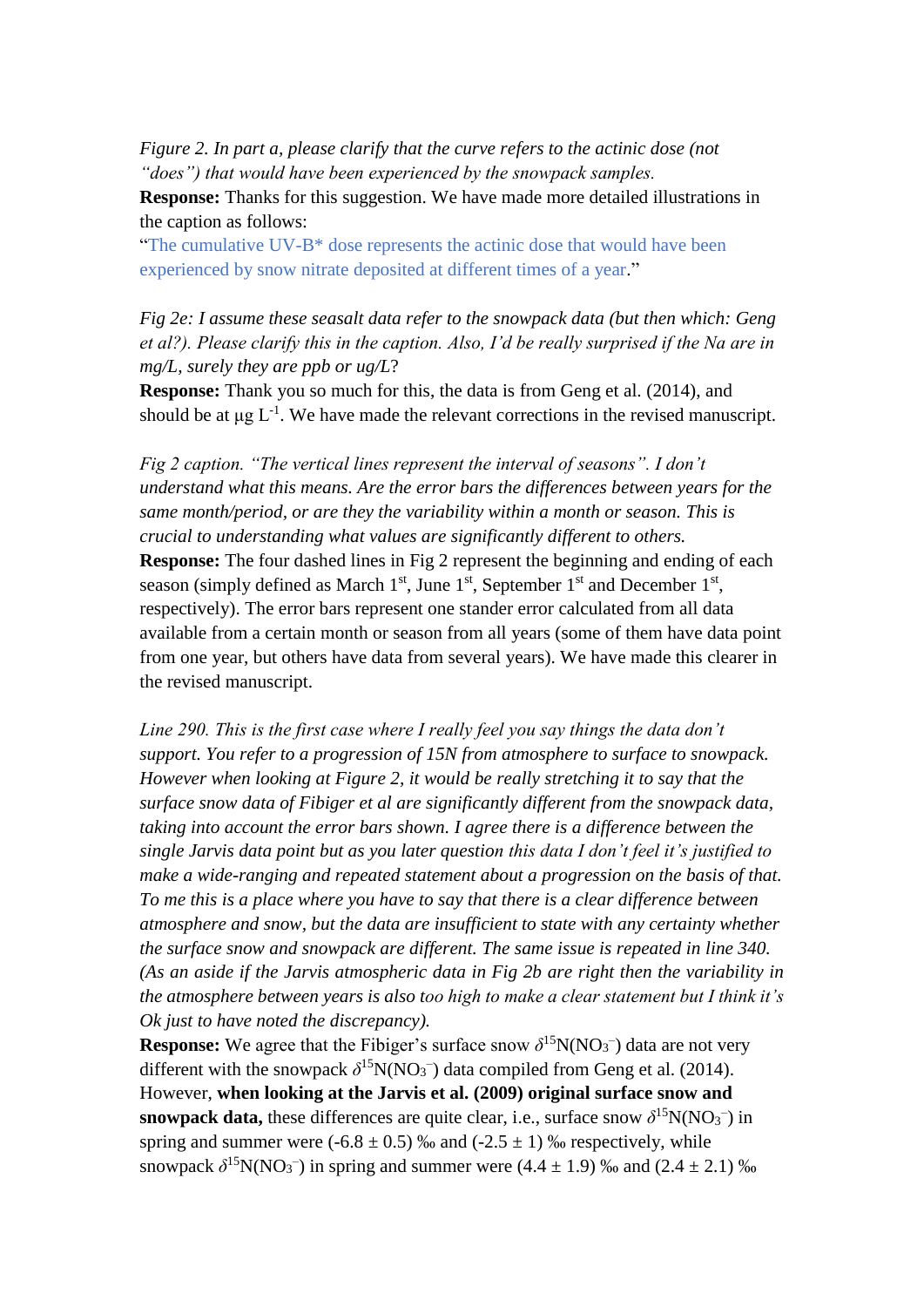*Figure 2. In part a, please clarify that the curve refers to the actinic dose (not "does") that would have been experienced by the snowpack samples.* 

**Response:** Thanks for this suggestion. We have made more detailed illustrations in the caption as follows:

"The cumulative UV-B\* dose represents the actinic dose that would have been experienced by snow nitrate deposited at different times of a year."

*Fig 2e: I assume these seasalt data refer to the snowpack data (but then which: Geng et al?). Please clarify this in the caption. Also, I'd be really surprised if the Na are in mg/L, surely they are ppb or ug/L*?

**Response:** Thank you so much for this, the data is from Geng et al. (2014), and should be at  $\mu$ g L<sup>-1</sup>. We have made the relevant corrections in the revised manuscript.

*Fig 2 caption. "The vertical lines represent the interval of seasons". I don't understand what this means. Are the error bars the differences between years for the same month/period, or are they the variability within a month or season. This is crucial to understanding what values are significantly different to others.*  **Response:** The four dashed lines in Fig 2 represent the beginning and ending of each season (simply defined as March  $1<sup>st</sup>$ , June  $1<sup>st</sup>$ , September  $1<sup>st</sup>$  and December  $1<sup>st</sup>$ , respectively). The error bars represent one stander error calculated from all data available from a certain month or season from all years (some of them have data point from one year, but others have data from several years). We have made this clearer in the revised manuscript.

*Line 290. This is the first case where I really feel you say things the data don't support. You refer to a progression of 15N from atmosphere to surface to snowpack. However when looking at Figure 2, it would be really stretching it to say that the surface snow data of Fibiger et al are significantly different from the snowpack data, taking into account the error bars shown. I agree there is a difference between the single Jarvis data point but as you later question this data I don't feel it's justified to make a wide-ranging and repeated statement about a progression on the basis of that. To me this is a place where you have to say that there is a clear difference between atmosphere and snow, but the data are insufficient to state with any certainty whether the surface snow and snowpack are different. The same issue is repeated in line 340. (As an aside if the Jarvis atmospheric data in Fig 2b are right then the variability in the atmosphere between years is also too high to make a clear statement but I think it's Ok just to have noted the discrepancy).*

**Response:** We agree that the Fibiger's surface snow  $\delta^{15}N(NO_3^-)$  data are not very different with the snowpack  $\delta^{15}N(NO_3^-)$  data compiled from Geng et al. (2014). However, **when looking at the Jarvis et al. (2009) original surface snow and snowpack data,** these differences are quite clear, i.e., surface snow  $\delta^{15}N(NO_3^-)$  in spring and summer were  $(-6.8 \pm 0.5)$  ‰ and  $(-2.5 \pm 1)$  ‰ respectively, while snowpack  $\delta^{15}N(NO_3^-)$  in spring and summer were  $(4.4 \pm 1.9)$  ‰ and  $(2.4 \pm 2.1)$  ‰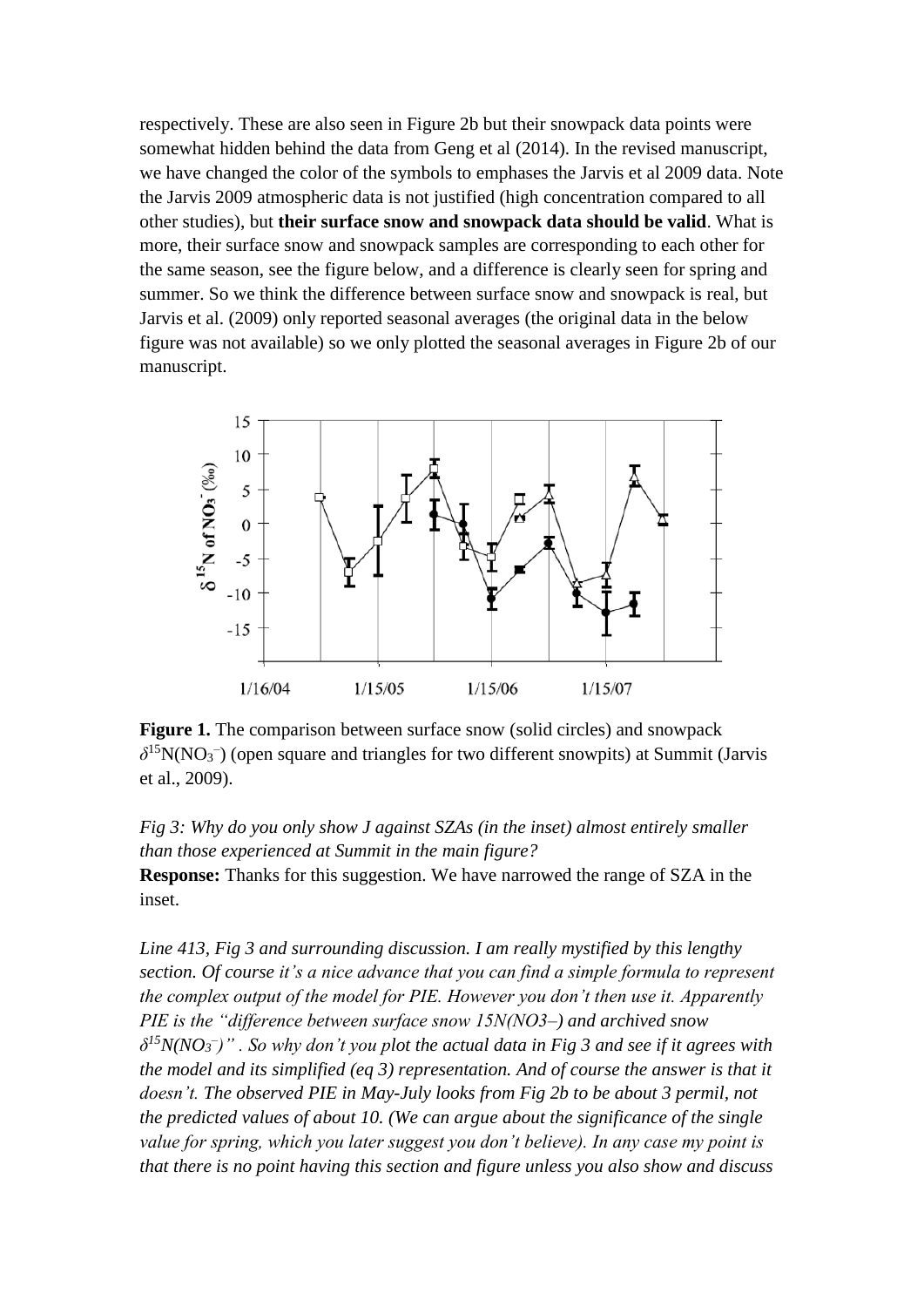respectively. These are also seen in Figure 2b but their snowpack data points were somewhat hidden behind the data from Geng et al (2014). In the revised manuscript, we have changed the color of the symbols to emphases the Jarvis et al 2009 data. Note the Jarvis 2009 atmospheric data is not justified (high concentration compared to all other studies), but **their surface snow and snowpack data should be valid**. What is more, their surface snow and snowpack samples are corresponding to each other for the same season, see the figure below, and a difference is clearly seen for spring and summer. So we think the difference between surface snow and snowpack is real, but Jarvis et al. (2009) only reported seasonal averages (the original data in the below figure was not available) so we only plotted the seasonal averages in Figure 2b of our manuscript.



**Figure 1.** The comparison between surface snow (solid circles) and snowpack  $\delta$ <sup>15</sup>N(NO<sub>3</sub><sup>-</sup>) (open square and triangles for two different snowpits) at Summit (Jarvis et al., 2009).

*Fig 3: Why do you only show J against SZAs (in the inset) almost entirely smaller than those experienced at Summit in the main figure?*  **Response:** Thanks for this suggestion. We have narrowed the range of SZA in the inset.

*Line 413, Fig 3 and surrounding discussion. I am really mystified by this lengthy section. Of course it's a nice advance that you can find a simple formula to represent the complex output of the model for PIE. However you don't then use it. Apparently PIE is the "difference between surface snow 15N(NO3–) and archived snow δ <sup>15</sup>N(NO<sup>3</sup> – )" . So why don't you plot the actual data in Fig 3 and see if it agrees with the model and its simplified (eq 3) representation. And of course the answer is that it doesn't. The observed PIE in May-July looks from Fig 2b to be about 3 permil, not the predicted values of about 10. (We can argue about the significance of the single value for spring, which you later suggest you don't believe). In any case my point is that there is no point having this section and figure unless you also show and discuss*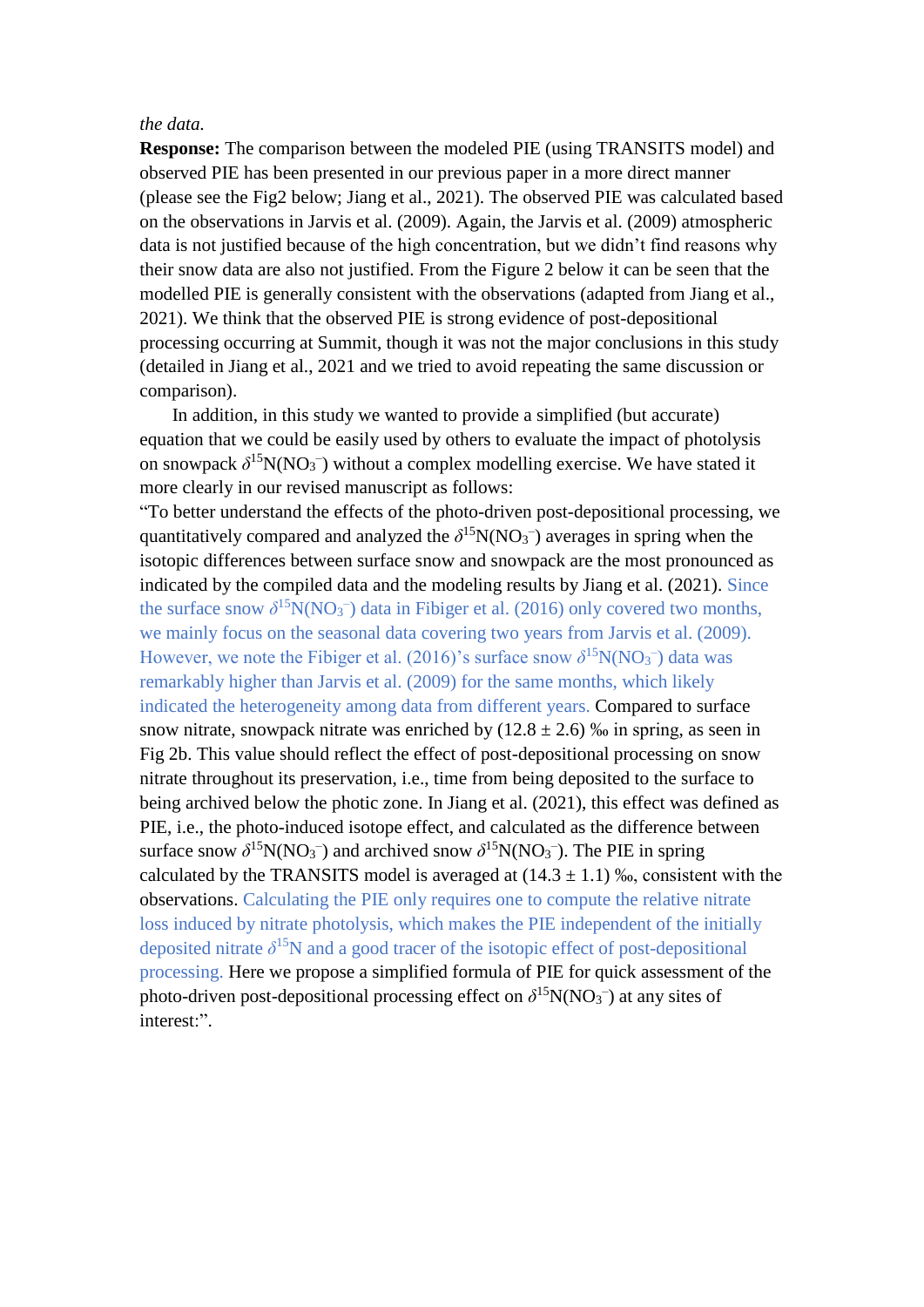## *the data.*

**Response:** The comparison between the modeled PIE (using TRANSITS model) and observed PIE has been presented in our previous paper in a more direct manner (please see the Fig2 below; Jiang et al., 2021). The observed PIE was calculated based on the observations in Jarvis et al. (2009). Again, the Jarvis et al. (2009) atmospheric data is not justified because of the high concentration, but we didn't find reasons why their snow data are also not justified. From the Figure 2 below it can be seen that the modelled PIE is generally consistent with the observations (adapted from Jiang et al., 2021). We think that the observed PIE is strong evidence of post-depositional processing occurring at Summit, though it was not the major conclusions in this study (detailed in Jiang et al., 2021 and we tried to avoid repeating the same discussion or comparison).

In addition, in this study we wanted to provide a simplified (but accurate) equation that we could be easily used by others to evaluate the impact of photolysis on snowpack  $\delta^{15}N(NO_3^-)$  without a complex modelling exercise. We have stated it more clearly in our revised manuscript as follows:

"To better understand the effects of the photo-driven post-depositional processing, we quantitatively compared and analyzed the  $\delta^{15}N(NO_3^-)$  averages in spring when the isotopic differences between surface snow and snowpack are the most pronounced as indicated by the compiled data and the modeling results by Jiang et al. (2021). Since the surface snow  $\delta^{15}N(NO_3^-)$  data in Fibiger et al. (2016) only covered two months, we mainly focus on the seasonal data covering two years from Jarvis et al. (2009). However, we note the Fibiger et al. (2016)'s surface snow  $\delta^{15}N(NO_3^-)$  data was remarkably higher than Jarvis et al. (2009) for the same months, which likely indicated the [heterogeneity](javascript:;) among data from different years. Compared to surface snow nitrate, snowpack nitrate was enriched by  $(12.8 \pm 2.6)$  % in spring, as seen in Fig 2b. This value should reflect the effect of post-depositional processing on snow nitrate throughout its preservation, i.e., time from being deposited to the surface to being archived below the photic zone. In Jiang et al. (2021), this effect was defined as PIE, i.e., the photo-induced isotope effect, and calculated as the difference between surface snow  $\delta^{15}N(NO_3^-)$  and archived snow  $\delta^{15}N(NO_3^-)$ . The PIE in spring calculated by the TRANSITS model is averaged at  $(14.3 \pm 1.1)$  ‰, consistent with the observations. Calculating the PIE only requires one to compute the relative nitrate loss induced by nitrate photolysis, which makes the PIE independent of the initially deposited nitrate  $\delta^{15}$ N and a good tracer of the isotopic effect of post-depositional processing. Here we propose a simplified formula of PIE for quick assessment of the photo-driven post-depositional processing effect on  $\delta^{15}N(NO_3^-)$  at any sites of interest:".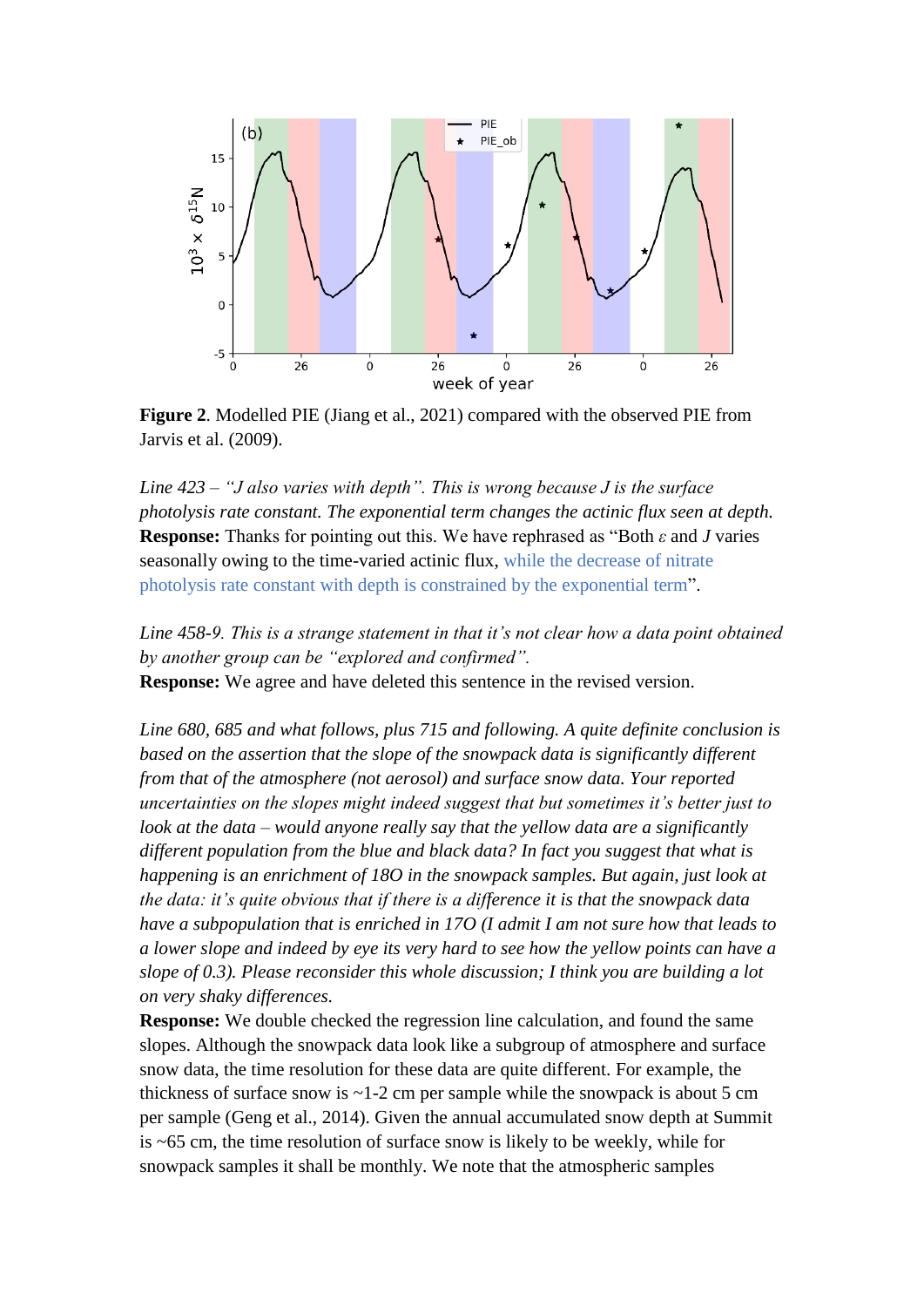

**Figure 2**. Modelled PIE (Jiang et al., 2021) compared with the observed PIE from Jarvis et al. (2009).

*Line 423 – "J also varies with depth". This is wrong because J is the surface photolysis rate constant. The exponential term changes the actinic flux seen at depth.*  **Response:** Thanks for pointing out this. We have rephrased as "Both *ε* and *J* varies seasonally owing to the time-varied actinic flux, while the decrease of nitrate photolysis rate constant with depth is constrained by the exponential term".

*Line 458-9. This is a strange statement in that it's not clear how a data point obtained by another group can be "explored and confirmed".*  **Response:** We agree and have deleted this sentence in the revised version.

*Line 680, 685 and what follows, plus 715 and following. A quite definite conclusion is based on the assertion that the slope of the snowpack data is significantly different from that of the atmosphere (not aerosol) and surface snow data. Your reported uncertainties on the slopes might indeed suggest that but sometimes it's better just to look at the data – would anyone really say that the yellow data are a significantly different population from the blue and black data? In fact you suggest that what is happening is an enrichment of 18O in the snowpack samples. But again, just look at the data: it's quite obvious that if there is a difference it is that the snowpack data have a subpopulation that is enriched in 17O (I admit I am not sure how that leads to a lower slope and indeed by eye its very hard to see how the yellow points can have a slope of 0.3). Please reconsider this whole discussion; I think you are building a lot on very shaky differences.* 

**Response:** We double checked the regression line calculation, and found the same slopes. Although the snowpack data look like a subgroup of atmosphere and surface snow data, the time resolution for these data are quite different. For example, the thickness of surface snow is  $\sim$  1-2 cm per sample while the snowpack is about 5 cm per sample (Geng et al., 2014). Given the annual accumulated snow depth at Summit is ~65 cm, the time resolution of surface snow is likely to be weekly, while for snowpack samples it shall be monthly. We note that the atmospheric samples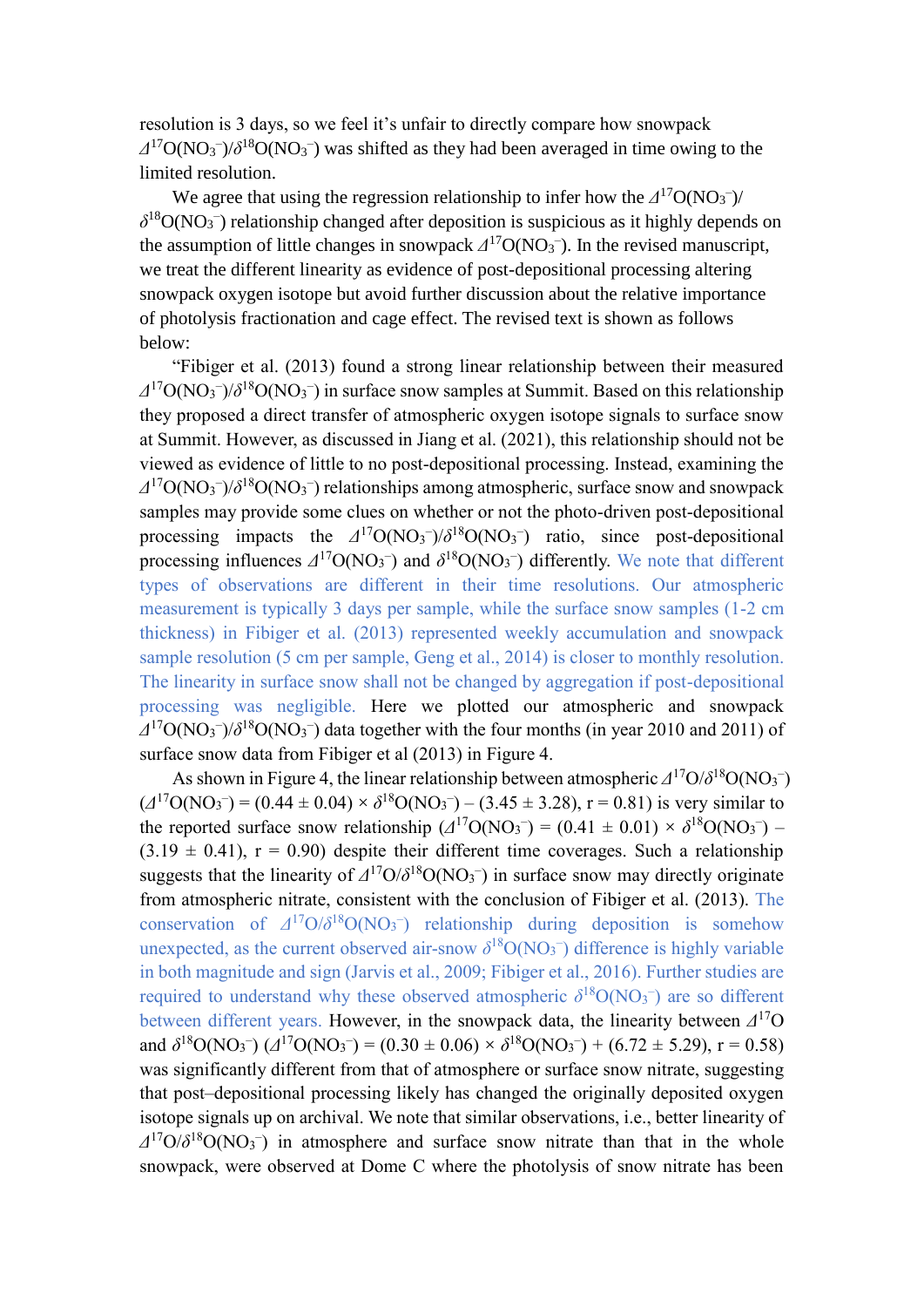resolution is 3 days, so we feel it's unfair to directly compare how snowpack  $\Delta^{17}O(NO_3^-)/\delta^{18}O(NO_3^-)$  was shifted as they had been averaged in time owing to the limited resolution.

We agree that using the regression relationship to infer how the  $\Delta^{17}O(NO_3^-)$ /  $\delta^{18}O(NO_3^-)$  relationship changed after deposition is suspicious as it highly depends on the assumption of little changes in snowpack  $\Delta^{17}O(NO_3^-)$ . In the revised manuscript, we treat the different linearity as evidence of post-depositional processing altering snowpack oxygen isotope but avoid further discussion about the relative importance of photolysis fractionation and cage effect. The revised text is shown as follows below:

"Fibiger et al. (2013) found a strong linear relationship between their measured  $\Delta^{17}O(NO_3^-)/\delta^{18}O(NO_3^-)$  in surface snow samples at Summit. Based on this relationship they proposed a direct transfer of atmospheric oxygen isotope signals to surface snow at Summit. However, as discussed in Jiang et al. (2021), this relationship should not be viewed as evidence of little to no post-depositional processing. Instead, examining the  $\Delta^{17}O(NO_3^-)/\delta^{18}O(NO_3^-)$  relationships among atmospheric, surface snow and snowpack samples may provide some clues on whether or not the photo-driven post-depositional processing impacts the  $\Delta^{17}O(NO_3^-)/\delta^{18}O(NO_3^-)$  ratio, since post-depositional processing influences  $\Delta^{17}O(NO_3^-)$  and  $\delta^{18}O(NO_3^-)$  differently. We note that different types of observations are different in their time resolutions. Our atmospheric measurement is typically 3 days per sample, while the surface snow samples (1-2 cm thickness) in Fibiger et al. (2013) represented weekly accumulation and snowpack sample resolution (5 cm per sample, Geng et al., 2014) is closer to monthly resolution. The linearity in surface snow shall not be changed by aggregation if post-depositional processing was negligible. Here we plotted our atmospheric and snowpack  $\Delta^{17}O(NO_3^-)/\delta^{18}O(NO_3^-)$  data together with the four months (in year 2010 and 2011) of surface snow data from Fibiger et al (2013) in Figure 4.

As shown in Figure 4, the linear relationship between atmospheric  $\Delta^{17}O/\delta^{18}O(NO_3^-)$  $(\angle$ <sup>17</sup>O(NO<sub>3</sub><sup>-</sup>) = (0.44 ± 0.04) ×  $\delta$ <sup>18</sup>O(NO<sub>3</sub><sup>-</sup>) – (3.45 ± 3.28), r = 0.81) is very similar to the reported surface snow relationship  $(A^{17}O(NO_3^-) = (0.41 \pm 0.01) \times \delta^{18}O(NO_3^-)$  $(3.19 \pm 0.41)$ ,  $r = 0.90$ ) despite their different time coverages. Such a relationship suggests that the linearity of  $\Delta^{17}O/\delta^{18}O(NO_3^-)$  in surface snow may directly originate from atmospheric nitrate, consistent with the conclusion of Fibiger et al. (2013). The conservation of  $\Delta^{17}O/\delta^{18}O(NO_3^-)$  relationship during deposition is somehow unexpected, as the current observed air-snow  $\delta^{18}O(NO_3^-)$  difference is highly variable in both magnitude and sign (Jarvis et al., 2009; Fibiger et al., 2016). Further studies are required to understand why these observed atmospheric  $\delta^{18}O(NO_3^-)$  are so different between different years. However, in the snowpack data, the linearity between *Δ* <sup>17</sup>O and  $\delta^{18}O(NO_3^-)$  ( $\Delta^{17}O(NO_3^-)$  = (0.30  $\pm$  0.06)  $\times \delta^{18}O(NO_3^-)$  + (6.72  $\pm$  5.29), r = 0.58) was significantly different from that of atmosphere or surface snow nitrate, suggesting that post–depositional processing likely has changed the originally deposited oxygen isotope signals up on archival. We note that similar observations, i.e., better linearity of  $\Delta^{17}O/\delta^{18}O(NO_3^-)$  in atmosphere and surface snow nitrate than that in the whole snowpack, were observed at Dome C where the photolysis of snow nitrate has been